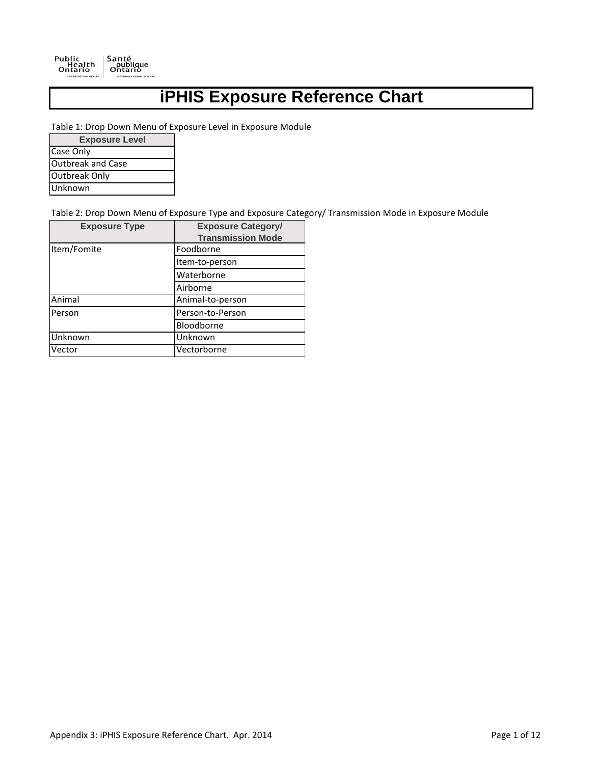

# **iPHIS Exposure Reference Chart**

Table 1: Drop Down Menu of Exposure Level in Exposure Module

**Exposure Level** Case Only Outbreak and Case Outbreak Only Unknown

Table 2: Drop Down Menu of Exposure Type and Exposure Category/ Transmission Mode in Exposure Module

| <b>Exposure Type</b> | <b>Exposure Category/</b> |
|----------------------|---------------------------|
|                      | <b>Transmission Mode</b>  |
| Item/Fomite          | Foodborne                 |
|                      | Item-to-person            |
|                      | Waterborne                |
|                      | Airborne                  |
| Animal               | Animal-to-person          |
| Person               | Person-to-Person          |
|                      | Bloodborne                |
| <b>Unknown</b>       | Unknown                   |
| Vector               | Vectorborne               |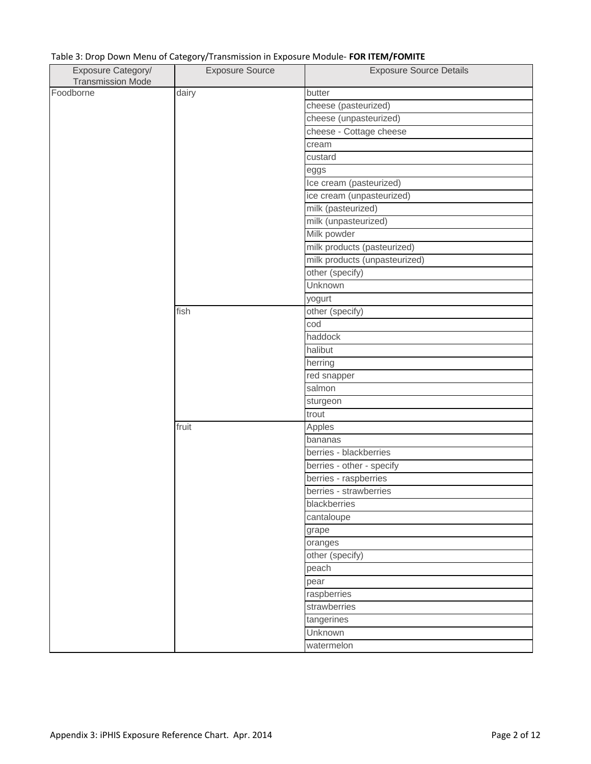|  |  | Table 3: Drop Down Menu of Category/Transmission in Exposure Module- FOR ITEM/FOMITE |  |
|--|--|--------------------------------------------------------------------------------------|--|
|--|--|--------------------------------------------------------------------------------------|--|

| Exposure Category/       | <b>Exposure Source</b> | <b>Exposure Source Details</b> |
|--------------------------|------------------------|--------------------------------|
| <b>Transmission Mode</b> |                        |                                |
| Foodborne                | dairy                  | butter                         |
|                          |                        | cheese (pasteurized)           |
|                          |                        | cheese (unpasteurized)         |
|                          |                        | cheese - Cottage cheese        |
|                          |                        | cream                          |
|                          |                        | custard                        |
|                          |                        | eggs                           |
|                          |                        | Ice cream (pasteurized)        |
|                          |                        | ice cream (unpasteurized)      |
|                          |                        | milk (pasteurized)             |
|                          |                        | milk (unpasteurized)           |
|                          |                        | Milk powder                    |
|                          |                        | milk products (pasteurized)    |
|                          |                        | milk products (unpasteurized)  |
|                          |                        | other (specify)                |
|                          |                        | Unknown                        |
|                          |                        | yogurt                         |
|                          | fish                   | other (specify)                |
|                          |                        | cod                            |
|                          |                        | haddock                        |
|                          |                        | halibut                        |
|                          |                        | herring                        |
|                          |                        | red snapper                    |
|                          |                        | salmon                         |
|                          |                        | sturgeon                       |
|                          |                        | trout                          |
|                          | fruit                  | Apples                         |
|                          |                        | bananas                        |
|                          |                        | berries - blackberries         |
|                          |                        | berries - other - specify      |
|                          |                        | berries - raspberries          |
|                          |                        | berries - strawberries         |
|                          |                        | blackberries                   |
|                          |                        | cantaloupe                     |
|                          |                        | grape                          |
|                          |                        |                                |
|                          |                        | oranges<br>other (specify)     |
|                          |                        | peach                          |
|                          |                        |                                |
|                          |                        | pear                           |
|                          |                        | raspberries                    |
|                          |                        | strawberries                   |
|                          |                        | tangerines                     |
|                          |                        | Unknown                        |
|                          |                        | watermelon                     |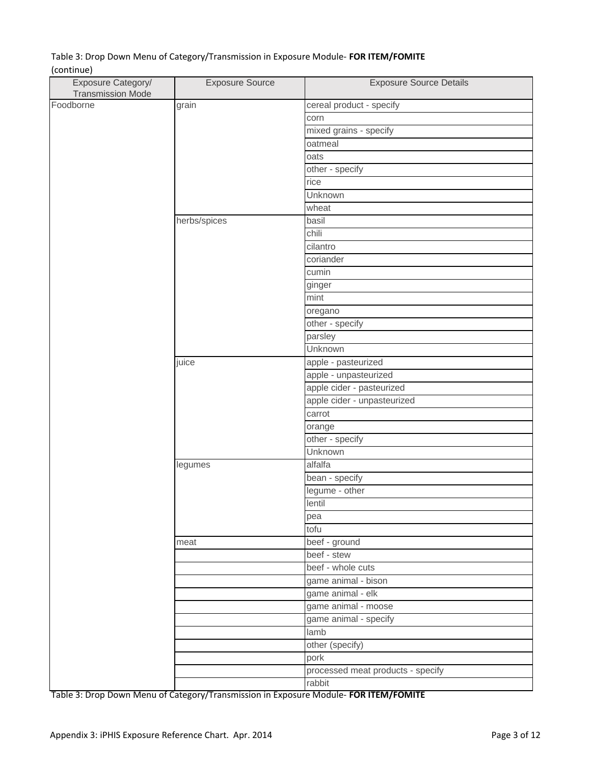#### Table 3: Drop Down Menu of Category/Transmission in Exposure Module- **FOR ITEM/FOMITE** (continue)

| Foodborne<br>cereal product - specify<br>grain<br>corn<br>mixed grains - specify<br>oatmeal<br>oats<br>other - specify<br>rice<br>Unknown<br>wheat<br>herbs/spices<br>basil<br>chili<br>cilantro<br>coriander<br>cumin<br>ginger<br>mint<br>oregano<br>other - specify<br>parsley<br>Unknown<br>juice<br>apple - pasteurized<br>apple - unpasteurized<br>apple cider - pasteurized<br>apple cider - unpasteurized<br>carrot<br>orange<br>other - specify<br>Unknown<br>alfalfa<br>legumes<br>bean - specify<br>legume - other | Exposure Category/       | <b>Exposure Source</b> | <b>Exposure Source Details</b> |
|-------------------------------------------------------------------------------------------------------------------------------------------------------------------------------------------------------------------------------------------------------------------------------------------------------------------------------------------------------------------------------------------------------------------------------------------------------------------------------------------------------------------------------|--------------------------|------------------------|--------------------------------|
|                                                                                                                                                                                                                                                                                                                                                                                                                                                                                                                               | <b>Transmission Mode</b> |                        |                                |
|                                                                                                                                                                                                                                                                                                                                                                                                                                                                                                                               |                          |                        |                                |
|                                                                                                                                                                                                                                                                                                                                                                                                                                                                                                                               |                          |                        |                                |
|                                                                                                                                                                                                                                                                                                                                                                                                                                                                                                                               |                          |                        |                                |
|                                                                                                                                                                                                                                                                                                                                                                                                                                                                                                                               |                          |                        |                                |
|                                                                                                                                                                                                                                                                                                                                                                                                                                                                                                                               |                          |                        |                                |
|                                                                                                                                                                                                                                                                                                                                                                                                                                                                                                                               |                          |                        |                                |
|                                                                                                                                                                                                                                                                                                                                                                                                                                                                                                                               |                          |                        |                                |
|                                                                                                                                                                                                                                                                                                                                                                                                                                                                                                                               |                          |                        |                                |
|                                                                                                                                                                                                                                                                                                                                                                                                                                                                                                                               |                          |                        |                                |
|                                                                                                                                                                                                                                                                                                                                                                                                                                                                                                                               |                          |                        |                                |
|                                                                                                                                                                                                                                                                                                                                                                                                                                                                                                                               |                          |                        |                                |
|                                                                                                                                                                                                                                                                                                                                                                                                                                                                                                                               |                          |                        |                                |
|                                                                                                                                                                                                                                                                                                                                                                                                                                                                                                                               |                          |                        |                                |
|                                                                                                                                                                                                                                                                                                                                                                                                                                                                                                                               |                          |                        |                                |
|                                                                                                                                                                                                                                                                                                                                                                                                                                                                                                                               |                          |                        |                                |
|                                                                                                                                                                                                                                                                                                                                                                                                                                                                                                                               |                          |                        |                                |
|                                                                                                                                                                                                                                                                                                                                                                                                                                                                                                                               |                          |                        |                                |
|                                                                                                                                                                                                                                                                                                                                                                                                                                                                                                                               |                          |                        |                                |
|                                                                                                                                                                                                                                                                                                                                                                                                                                                                                                                               |                          |                        |                                |
|                                                                                                                                                                                                                                                                                                                                                                                                                                                                                                                               |                          |                        |                                |
|                                                                                                                                                                                                                                                                                                                                                                                                                                                                                                                               |                          |                        |                                |
|                                                                                                                                                                                                                                                                                                                                                                                                                                                                                                                               |                          |                        |                                |
|                                                                                                                                                                                                                                                                                                                                                                                                                                                                                                                               |                          |                        |                                |
|                                                                                                                                                                                                                                                                                                                                                                                                                                                                                                                               |                          |                        |                                |
|                                                                                                                                                                                                                                                                                                                                                                                                                                                                                                                               |                          |                        |                                |
|                                                                                                                                                                                                                                                                                                                                                                                                                                                                                                                               |                          |                        |                                |
|                                                                                                                                                                                                                                                                                                                                                                                                                                                                                                                               |                          |                        |                                |
|                                                                                                                                                                                                                                                                                                                                                                                                                                                                                                                               |                          |                        |                                |
|                                                                                                                                                                                                                                                                                                                                                                                                                                                                                                                               |                          |                        |                                |
|                                                                                                                                                                                                                                                                                                                                                                                                                                                                                                                               |                          |                        |                                |
|                                                                                                                                                                                                                                                                                                                                                                                                                                                                                                                               |                          |                        |                                |
|                                                                                                                                                                                                                                                                                                                                                                                                                                                                                                                               |                          |                        |                                |
| lentil                                                                                                                                                                                                                                                                                                                                                                                                                                                                                                                        |                          |                        |                                |
| pea                                                                                                                                                                                                                                                                                                                                                                                                                                                                                                                           |                          |                        |                                |
| tofu                                                                                                                                                                                                                                                                                                                                                                                                                                                                                                                          |                          |                        |                                |
| beef - ground<br>meat                                                                                                                                                                                                                                                                                                                                                                                                                                                                                                         |                          |                        |                                |
| beef - stew                                                                                                                                                                                                                                                                                                                                                                                                                                                                                                                   |                          |                        |                                |
| beef - whole cuts                                                                                                                                                                                                                                                                                                                                                                                                                                                                                                             |                          |                        |                                |
| game animal - bison                                                                                                                                                                                                                                                                                                                                                                                                                                                                                                           |                          |                        |                                |
| game animal - elk                                                                                                                                                                                                                                                                                                                                                                                                                                                                                                             |                          |                        |                                |
| game animal - moose                                                                                                                                                                                                                                                                                                                                                                                                                                                                                                           |                          |                        |                                |
| game animal - specify                                                                                                                                                                                                                                                                                                                                                                                                                                                                                                         |                          |                        |                                |
| lamb                                                                                                                                                                                                                                                                                                                                                                                                                                                                                                                          |                          |                        |                                |
| other (specify)                                                                                                                                                                                                                                                                                                                                                                                                                                                                                                               |                          |                        |                                |
| pork                                                                                                                                                                                                                                                                                                                                                                                                                                                                                                                          |                          |                        |                                |
| processed meat products - specify                                                                                                                                                                                                                                                                                                                                                                                                                                                                                             |                          |                        |                                |
| rabbit                                                                                                                                                                                                                                                                                                                                                                                                                                                                                                                        |                          |                        |                                |

Table 3: Drop Down Menu of Category/Transmission in Exposure Module- **FOR ITEM/FOMITE**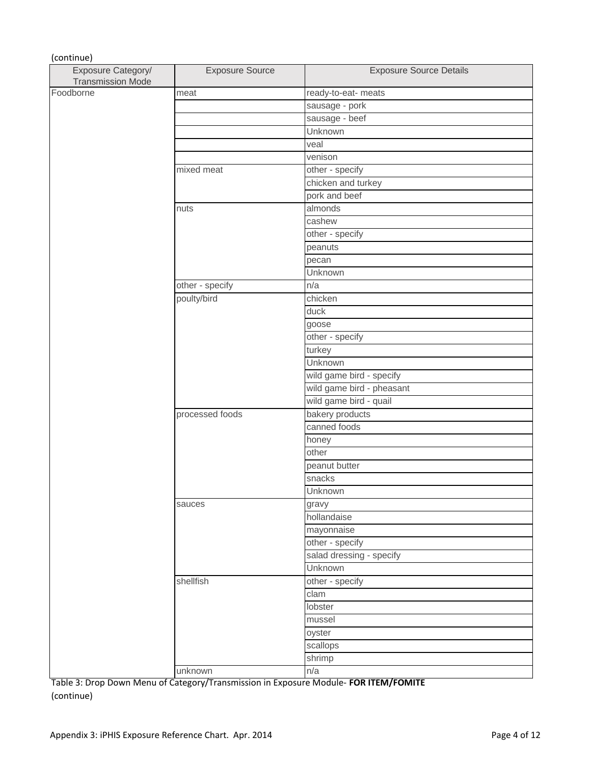| Exposure Category/       | <b>Exposure Source</b> | <b>Exposure Source Details</b> |
|--------------------------|------------------------|--------------------------------|
| <b>Transmission Mode</b> |                        |                                |
| Foodborne                | meat                   | ready-to-eat- meats            |
|                          |                        | sausage - pork                 |
|                          |                        | sausage - beef                 |
|                          |                        | <b>Unknown</b>                 |
|                          |                        | veal                           |
|                          |                        | venison                        |
|                          | mixed meat             | other - specify                |
|                          |                        | chicken and turkey             |
|                          |                        | pork and beef                  |
|                          | nuts                   | almonds                        |
|                          |                        | cashew                         |
|                          |                        | other - specify                |
|                          |                        | peanuts                        |
|                          |                        | pecan                          |
|                          |                        | Unknown                        |
|                          | other - specify        | n/a                            |
|                          | poulty/bird            | chicken                        |
|                          |                        | duck                           |
|                          |                        | goose                          |
|                          |                        | other - specify                |
|                          |                        | turkey                         |
|                          |                        | Unknown                        |
|                          |                        | wild game bird - specify       |
|                          |                        | wild game bird - pheasant      |
|                          |                        | wild game bird - quail         |
|                          | processed foods        | bakery products                |
|                          |                        | canned foods                   |
|                          |                        | honey                          |
|                          |                        | other                          |
|                          |                        | peanut butter                  |
|                          |                        | snacks                         |
|                          |                        | <b>Unknown</b>                 |
|                          |                        |                                |
|                          | sauces                 | gravy<br>hollandaise           |
|                          |                        |                                |
|                          |                        | mayonnaise                     |
|                          |                        | other - specify                |
|                          |                        | salad dressing - specify       |
|                          |                        | Unknown                        |
|                          | shellfish              | other - specify                |
|                          |                        | clam                           |
|                          |                        | lobster                        |
|                          |                        | mussel                         |
|                          |                        | oyster                         |
|                          |                        | scallops                       |
|                          |                        | shrimp                         |
|                          | unknown                | n/a                            |

Table 3: Drop Down Menu of Category/Transmission in Exposure Module- **FOR ITEM/FOMITE** (continue)

(continue)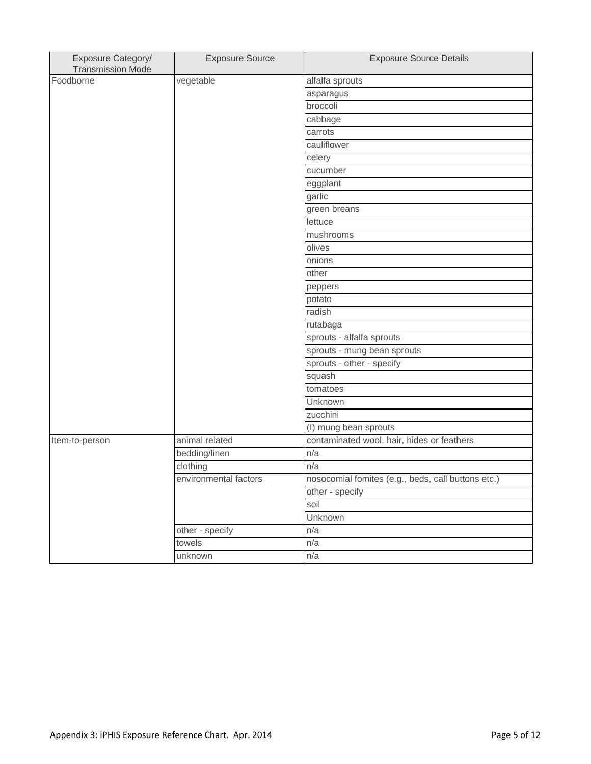| Exposure Category/<br><b>Transmission Mode</b> | <b>Exposure Source</b> | <b>Exposure Source Details</b>                     |
|------------------------------------------------|------------------------|----------------------------------------------------|
| Foodborne                                      | vegetable              | alfalfa sprouts                                    |
|                                                |                        | asparagus                                          |
|                                                |                        | broccoli                                           |
|                                                |                        | cabbage                                            |
|                                                |                        | carrots                                            |
|                                                |                        | cauliflower                                        |
|                                                |                        | celery                                             |
|                                                |                        | cucumber                                           |
|                                                |                        | eggplant                                           |
|                                                |                        | garlic                                             |
|                                                |                        | green breans                                       |
|                                                |                        | lettuce                                            |
|                                                |                        | mushrooms                                          |
|                                                |                        | olives                                             |
|                                                |                        | onions                                             |
|                                                |                        | other                                              |
|                                                |                        | peppers                                            |
|                                                |                        | potato                                             |
|                                                |                        | radish                                             |
|                                                |                        | rutabaga                                           |
|                                                |                        | sprouts - alfalfa sprouts                          |
|                                                |                        | sprouts - mung bean sprouts                        |
|                                                |                        | sprouts - other - specify                          |
|                                                |                        | squash                                             |
|                                                |                        | tomatoes                                           |
|                                                |                        | Unknown                                            |
|                                                |                        | zucchini                                           |
|                                                |                        | (I) mung bean sprouts                              |
| Item-to-person                                 | animal related         | contaminated wool, hair, hides or feathers         |
|                                                | bedding/linen          | n/a                                                |
|                                                | clothing               | n/a                                                |
|                                                | environmental factors  | nosocomial fomites (e.g., beds, call buttons etc.) |
|                                                |                        | other - specify                                    |
|                                                |                        | soil                                               |
|                                                |                        | Unknown                                            |
|                                                | other - specify        | n/a                                                |
|                                                | towels                 | n/a                                                |
|                                                | unknown                | n/a                                                |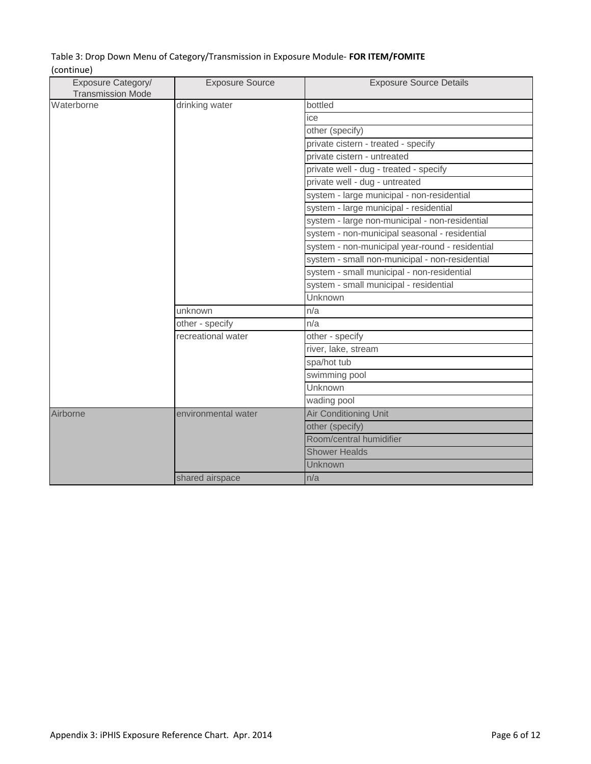### Table 3: Drop Down Menu of Category/Transmission in Exposure Module- **FOR ITEM/FOMITE** (continue)

| Exposure Category/<br><b>Transmission Mode</b> | <b>Exposure Source</b> | <b>Exposure Source Details</b>                  |
|------------------------------------------------|------------------------|-------------------------------------------------|
| Waterborne                                     | drinking water         | bottled                                         |
|                                                |                        | ice                                             |
|                                                |                        | other (specify)                                 |
|                                                |                        | private cistern - treated - specify             |
|                                                |                        | private cistern - untreated                     |
|                                                |                        | private well - dug - treated - specify          |
|                                                |                        | private well - dug - untreated                  |
|                                                |                        | system - large municipal - non-residential      |
|                                                |                        | system - large municipal - residential          |
|                                                |                        | system - large non-municipal - non-residential  |
|                                                |                        | system - non-municipal seasonal - residential   |
|                                                |                        | system - non-municipal year-round - residential |
|                                                |                        | system - small non-municipal - non-residential  |
|                                                |                        | system - small municipal - non-residential      |
|                                                |                        | system - small municipal - residential          |
|                                                |                        | Unknown                                         |
|                                                | unknown                | n/a                                             |
|                                                | other - specify        | n/a                                             |
|                                                | recreational water     | other - specify                                 |
|                                                |                        | river, lake, stream                             |
|                                                |                        | spa/hot tub                                     |
|                                                |                        | swimming pool                                   |
|                                                |                        | Unknown                                         |
|                                                |                        | wading pool                                     |
| Airborne                                       | environmental water    | Air Conditioning Unit                           |
|                                                |                        | other (specify)                                 |
|                                                |                        | Room/central humidifier                         |
|                                                |                        | <b>Shower Healds</b>                            |
|                                                |                        | Unknown                                         |
|                                                | shared airspace        | n/a                                             |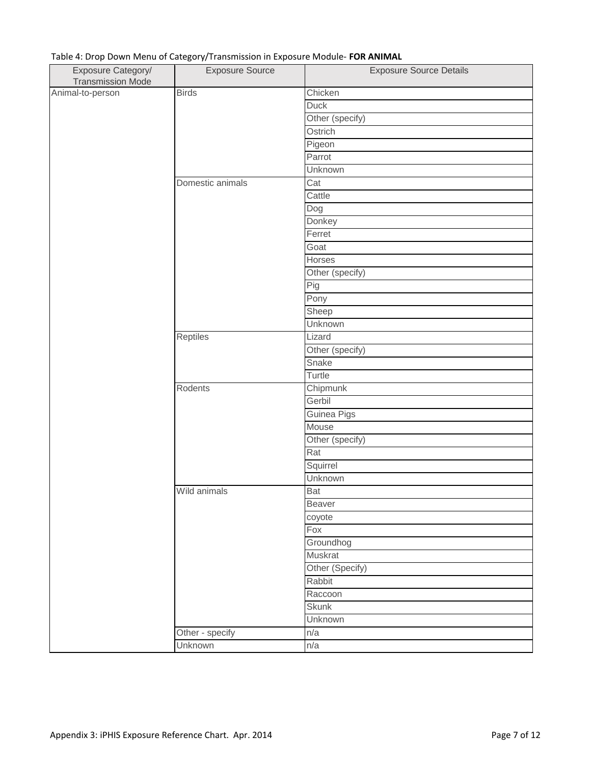## Table 4: Drop Down Menu of Category/Transmission in Exposure Module- **FOR ANIMAL**

| <b>Transmission Mode</b><br><b>Birds</b><br>Chicken<br>Animal-to-person<br><b>Duck</b><br>Other (specify)<br>Ostrich<br>Pigeon<br>Parrot<br><b>Unknown</b><br>Cat<br>Domestic animals |  |
|---------------------------------------------------------------------------------------------------------------------------------------------------------------------------------------|--|
|                                                                                                                                                                                       |  |
|                                                                                                                                                                                       |  |
|                                                                                                                                                                                       |  |
|                                                                                                                                                                                       |  |
|                                                                                                                                                                                       |  |
|                                                                                                                                                                                       |  |
|                                                                                                                                                                                       |  |
|                                                                                                                                                                                       |  |
| Cattle                                                                                                                                                                                |  |
| Dog                                                                                                                                                                                   |  |
| Donkey                                                                                                                                                                                |  |
| Ferret                                                                                                                                                                                |  |
| Goat                                                                                                                                                                                  |  |
| <b>Horses</b>                                                                                                                                                                         |  |
|                                                                                                                                                                                       |  |
| Other (specify)                                                                                                                                                                       |  |
| Pig                                                                                                                                                                                   |  |
| Pony                                                                                                                                                                                  |  |
| Sheep                                                                                                                                                                                 |  |
| Unknown                                                                                                                                                                               |  |
| <b>Reptiles</b><br>Lizard                                                                                                                                                             |  |
| Other (specify)                                                                                                                                                                       |  |
| Snake                                                                                                                                                                                 |  |
| Turtle                                                                                                                                                                                |  |
| Chipmunk<br>Rodents                                                                                                                                                                   |  |
| Gerbil                                                                                                                                                                                |  |
| Guinea Pigs                                                                                                                                                                           |  |
| Mouse                                                                                                                                                                                 |  |
| Other (specify)                                                                                                                                                                       |  |
| Rat                                                                                                                                                                                   |  |
| Squirrel                                                                                                                                                                              |  |
| Unknown                                                                                                                                                                               |  |
| Wild animals<br>Bat                                                                                                                                                                   |  |
| Beaver                                                                                                                                                                                |  |
| coyote                                                                                                                                                                                |  |
| Fox                                                                                                                                                                                   |  |
|                                                                                                                                                                                       |  |
| Groundhog                                                                                                                                                                             |  |
| <b>Muskrat</b>                                                                                                                                                                        |  |
| Other (Specify)                                                                                                                                                                       |  |
| Rabbit                                                                                                                                                                                |  |
| Raccoon                                                                                                                                                                               |  |
| <b>Skunk</b>                                                                                                                                                                          |  |
| Unknown                                                                                                                                                                               |  |
| Other - specify<br>n/a                                                                                                                                                                |  |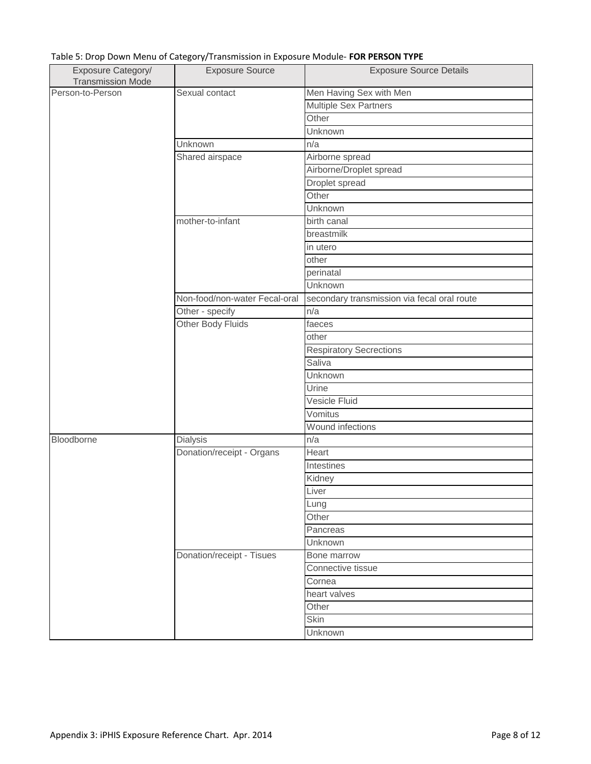| Table 5: Drop Down Menu of Category/Transmission in Exposure Module- FOR PERSON TYPE |  |  |  |
|--------------------------------------------------------------------------------------|--|--|--|
|--------------------------------------------------------------------------------------|--|--|--|

| Exposure Category/       | <b>Exposure Source</b>        | <b>Exposure Source Details</b>              |
|--------------------------|-------------------------------|---------------------------------------------|
| <b>Transmission Mode</b> |                               |                                             |
| Person-to-Person         | Sexual contact                | Men Having Sex with Men                     |
|                          |                               | Multiple Sex Partners                       |
|                          |                               | Other                                       |
|                          |                               | Unknown                                     |
|                          | Unknown                       | n/a                                         |
|                          | Shared airspace               | Airborne spread                             |
|                          |                               | Airborne/Droplet spread                     |
|                          |                               | Droplet spread                              |
|                          |                               | Other                                       |
|                          |                               | Unknown                                     |
|                          | mother-to-infant              | birth canal                                 |
|                          |                               | breastmilk                                  |
|                          |                               | in utero                                    |
|                          |                               | other                                       |
|                          |                               | perinatal                                   |
|                          |                               | Unknown                                     |
|                          | Non-food/non-water Fecal-oral | secondary transmission via fecal oral route |
|                          | Other - specify               | n/a                                         |
|                          | Other Body Fluids             | faeces                                      |
|                          |                               | other                                       |
|                          |                               | <b>Respiratory Secrections</b>              |
|                          |                               | Saliva                                      |
|                          |                               | Unknown                                     |
|                          |                               | Urine                                       |
|                          |                               | Vesicle Fluid                               |
|                          |                               |                                             |
|                          |                               | Vomitus                                     |
|                          |                               | Wound infections                            |
| Bloodborne               | Dialysis                      | n/a                                         |
|                          | Donation/receipt - Organs     | Heart                                       |
|                          |                               | Intestines                                  |
|                          |                               | Kidney                                      |
|                          |                               | Liver                                       |
|                          |                               | Lung                                        |
|                          |                               | Other                                       |
|                          |                               | Pancreas                                    |
|                          |                               | Unknown                                     |
|                          | Donation/receipt - Tisues     | Bone marrow                                 |
|                          |                               | Connective tissue                           |
|                          |                               | Cornea                                      |
|                          |                               | heart valves                                |
|                          |                               | Other                                       |
|                          |                               | Skin                                        |
|                          |                               | Unknown                                     |
|                          |                               |                                             |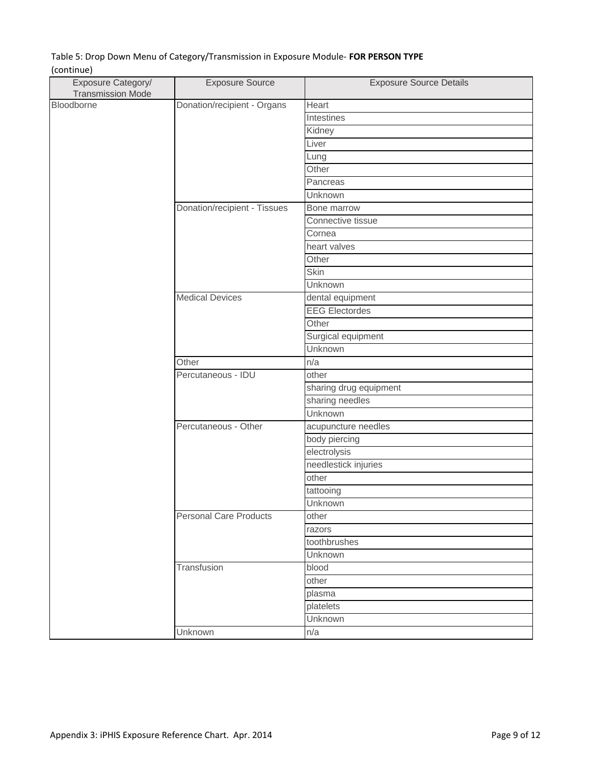## Table 5: Drop Down Menu of Category/Transmission in Exposure Module- **FOR PERSON TYPE** (continue)

| Exposure Category/       | <b>Exposure Source</b>        | <b>Exposure Source Details</b> |
|--------------------------|-------------------------------|--------------------------------|
| <b>Transmission Mode</b> |                               |                                |
| Bloodborne               | Donation/recipient - Organs   | Heart                          |
|                          |                               | Intestines                     |
|                          |                               | Kidney                         |
|                          |                               | Liver                          |
|                          |                               | Lung                           |
|                          |                               | Other                          |
|                          |                               | Pancreas                       |
|                          |                               | Unknown                        |
|                          | Donation/recipient - Tissues  | Bone marrow                    |
|                          |                               | Connective tissue              |
|                          |                               | Cornea                         |
|                          |                               | heart valves                   |
|                          |                               | Other                          |
|                          |                               | <b>Skin</b>                    |
|                          |                               | Unknown                        |
|                          | <b>Medical Devices</b>        | dental equipment               |
|                          |                               | <b>EEG Electordes</b>          |
|                          |                               | Other                          |
|                          |                               | Surgical equipment             |
|                          |                               | Unknown                        |
|                          | Other                         | n/a                            |
|                          | Percutaneous - IDU            | other                          |
|                          |                               | sharing drug equipment         |
|                          |                               | sharing needles                |
|                          |                               | Unknown                        |
|                          | Percutaneous - Other          | acupuncture needles            |
|                          |                               | body piercing                  |
|                          |                               | electrolysis                   |
|                          |                               | needlestick injuries           |
|                          |                               | other                          |
|                          |                               | tattooing                      |
|                          |                               | Unknown                        |
|                          | <b>Personal Care Products</b> | other                          |
|                          |                               | razors                         |
|                          |                               | toothbrushes                   |
|                          |                               | Unknown                        |
|                          | Transfusion                   | blood                          |
|                          |                               | other                          |
|                          |                               | plasma                         |
|                          |                               | platelets                      |
|                          |                               | Unknown                        |
|                          | Unknown                       | n/a                            |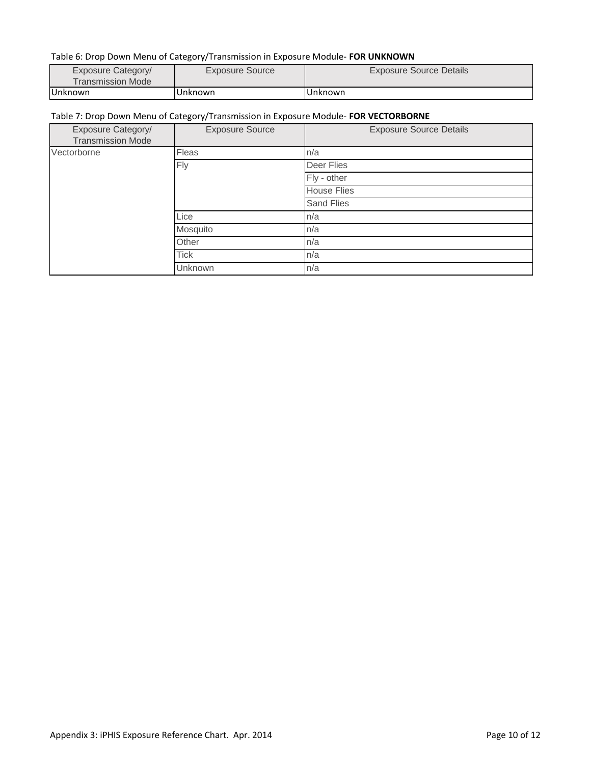#### Table 6: Drop Down Menu of Category/Transmission in Exposure Module- **FOR UNKNOWN**

| Exposure Category/ | <b>Exposure Source</b> | Exposure Source Details |
|--------------------|------------------------|-------------------------|
| Transmission Mode  |                        |                         |
| <b>Unknown</b>     | Unknown                | IUnknown                |

#### Table 7: Drop Down Menu of Category/Transmission in Exposure Module- **FOR VECTORBORNE**

| Exposure Category/<br><b>Transmission Mode</b> | <b>Exposure Source</b> | <b>Exposure Source Details</b> |
|------------------------------------------------|------------------------|--------------------------------|
| Vectorborne                                    | Fleas                  | n/a                            |
|                                                | Fly                    | Deer Flies                     |
|                                                |                        | Fly - other                    |
|                                                |                        | <b>House Flies</b>             |
|                                                |                        | <b>Sand Flies</b>              |
|                                                | Lice                   | n/a                            |
|                                                | Mosquito               | n/a                            |
|                                                | Other                  | n/a                            |
|                                                | <b>Tick</b>            | n/a                            |
|                                                | Unknown                | n/a                            |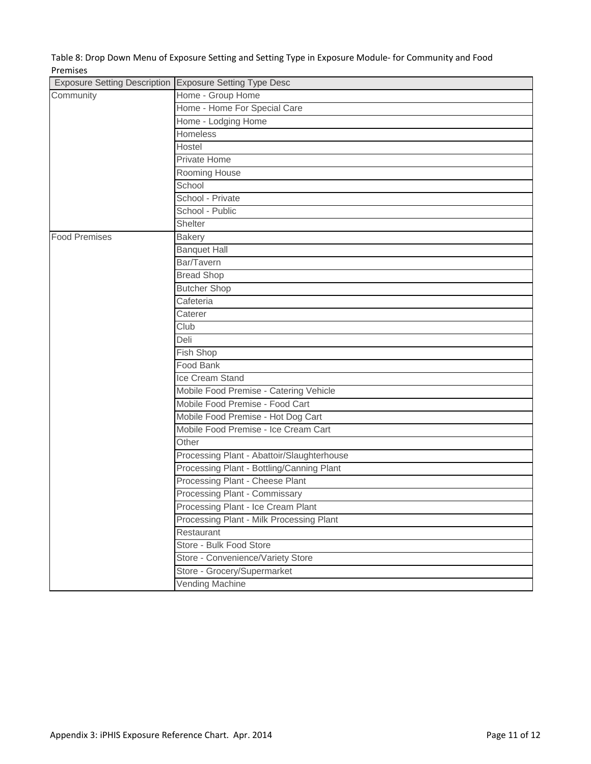Table 8: Drop Down Menu of Exposure Setting and Setting Type in Exposure Module- for Community and Food Premises

| Exposure Setting Description Exposure Setting Type Desc |                                            |  |
|---------------------------------------------------------|--------------------------------------------|--|
| Community                                               | Home - Group Home                          |  |
|                                                         | Home - Home For Special Care               |  |
|                                                         | Home - Lodging Home                        |  |
|                                                         | <b>Homeless</b>                            |  |
|                                                         | Hostel                                     |  |
|                                                         | Private Home                               |  |
|                                                         | Rooming House                              |  |
|                                                         | School                                     |  |
|                                                         | School - Private                           |  |
|                                                         | School - Public                            |  |
|                                                         | Shelter                                    |  |
| <b>Food Premises</b>                                    | <b>Bakery</b>                              |  |
|                                                         | <b>Banquet Hall</b>                        |  |
|                                                         | Bar/Tavern                                 |  |
|                                                         | <b>Bread Shop</b>                          |  |
|                                                         | <b>Butcher Shop</b>                        |  |
|                                                         | Cafeteria                                  |  |
|                                                         | Caterer                                    |  |
|                                                         | Club                                       |  |
|                                                         | Deli                                       |  |
|                                                         | <b>Fish Shop</b>                           |  |
|                                                         | Food Bank                                  |  |
|                                                         | Ice Cream Stand                            |  |
|                                                         | Mobile Food Premise - Catering Vehicle     |  |
|                                                         | Mobile Food Premise - Food Cart            |  |
|                                                         | Mobile Food Premise - Hot Dog Cart         |  |
|                                                         | Mobile Food Premise - Ice Cream Cart       |  |
|                                                         | Other                                      |  |
|                                                         | Processing Plant - Abattoir/Slaughterhouse |  |
|                                                         | Processing Plant - Bottling/Canning Plant  |  |
|                                                         | Processing Plant - Cheese Plant            |  |
|                                                         | Processing Plant - Commissary              |  |
|                                                         | Processing Plant - Ice Cream Plant         |  |
|                                                         | Processing Plant - Milk Processing Plant   |  |
|                                                         | Restaurant                                 |  |
|                                                         | Store - Bulk Food Store                    |  |
|                                                         | Store - Convenience/Variety Store          |  |
|                                                         | Store - Grocery/Supermarket                |  |
|                                                         | Vending Machine                            |  |